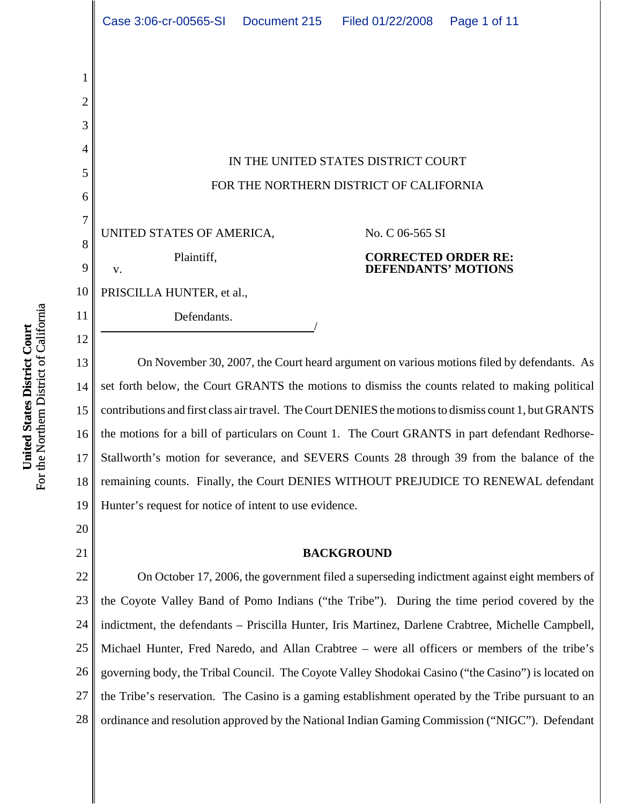IN THE UNITED STATES DISTRICT COURT FOR THE NORTHERN DISTRICT OF CALIFORNIA

UNITED STATES OF AMERICA,

Plaintiff,

Defendants.

No. C 06-565 SI

## **CORRECTED ORDER RE: DEFENDANTS' MOTIONS**

10 PRISCILLA HUNTER, et al.,

13 14 15 16 17 18 19 On November 30, 2007, the Court heard argument on various motions filed by defendants. As set forth below, the Court GRANTS the motions to dismiss the counts related to making political contributions and first class air travel. The Court DENIES the motions to dismiss count 1, but GRANTS the motions for a bill of particulars on Count 1. The Court GRANTS in part defendant Redhorse-Stallworth's motion for severance, and SEVERS Counts 28 through 39 from the balance of the remaining counts. Finally, the Court DENIES WITHOUT PREJUDICE TO RENEWAL defendant Hunter's request for notice of intent to use evidence.

20 21

1

2

3

4

5

6

7

8

9

v.

11

12

# **BACKGROUND**

22 23 24 25 26 27 28 On October 17, 2006, the government filed a superseding indictment against eight members of the Coyote Valley Band of Pomo Indians ("the Tribe"). During the time period covered by the indictment, the defendants – Priscilla Hunter, Iris Martinez, Darlene Crabtree, Michelle Campbell, Michael Hunter, Fred Naredo, and Allan Crabtree – were all officers or members of the tribe's governing body, the Tribal Council. The Coyote Valley Shodokai Casino ("the Casino") is located on the Tribe's reservation. The Casino is a gaming establishment operated by the Tribe pursuant to an ordinance and resolution approved by the National Indian Gaming Commission ("NIGC"). Defendant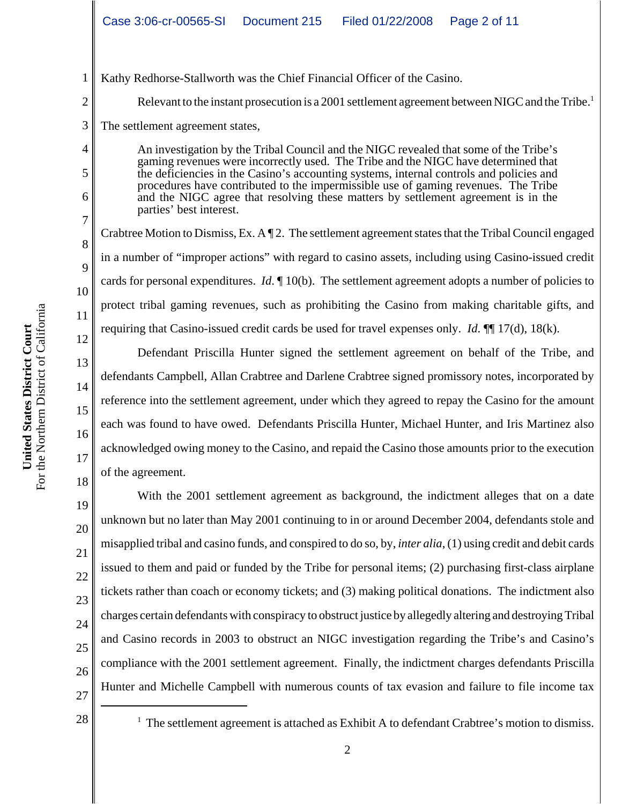Kathy Redhorse-Stallworth was the Chief Financial Officer of the Casino.

Relevant to the instant prosecution is a 2001 settlement agreement between NIGC and the Tribe.<sup>1</sup>

3 The settlement agreement states,

1

2

4

5

6

7

8

9

10

11

12

13

14

15

16

17

18

21

An investigation by the Tribal Council and the NIGC revealed that some of the Tribe's gaming revenues were incorrectly used. The Tribe and the NIGC have determined that the deficiencies in the Casino's accounting systems, internal controls and policies and procedures have contributed to the impermissible use of gaming revenues. The Tribe and the NIGC agree that resolving these matters by settlement agreement is in the parties' best interest.

Crabtree Motion to Dismiss, Ex. A ¶ 2. The settlement agreement states that the Tribal Council engaged in a number of "improper actions" with regard to casino assets, including using Casino-issued credit cards for personal expenditures. *Id*. ¶ 10(b). The settlement agreement adopts a number of policies to protect tribal gaming revenues, such as prohibiting the Casino from making charitable gifts, and requiring that Casino-issued credit cards be used for travel expenses only. *Id*. ¶¶ 17(d), 18(k).

Defendant Priscilla Hunter signed the settlement agreement on behalf of the Tribe, and defendants Campbell, Allan Crabtree and Darlene Crabtree signed promissory notes, incorporated by reference into the settlement agreement, under which they agreed to repay the Casino for the amount each was found to have owed. Defendants Priscilla Hunter, Michael Hunter, and Iris Martinez also acknowledged owing money to the Casino, and repaid the Casino those amounts prior to the execution of the agreement.

19 20 22 23 24 26 With the 2001 settlement agreement as background, the indictment alleges that on a date unknown but no later than May 2001 continuing to in or around December 2004, defendants stole and misapplied tribal and casino funds, and conspired to do so, by, *inter alia*, (1) using credit and debit cards issued to them and paid or funded by the Tribe for personal items; (2) purchasing first-class airplane tickets rather than coach or economy tickets; and (3) making political donations. The indictment also charges certain defendants with conspiracy to obstruct justice by allegedly altering and destroying Tribal and Casino records in 2003 to obstruct an NIGC investigation regarding the Tribe's and Casino's compliance with the 2001 settlement agreement. Finally, the indictment charges defendants Priscilla Hunter and Michelle Campbell with numerous counts of tax evasion and failure to file income tax

27

25

 $<sup>1</sup>$  The settlement agreement is attached as Exhibit A to defendant Crabtree's motion to dismiss.</sup>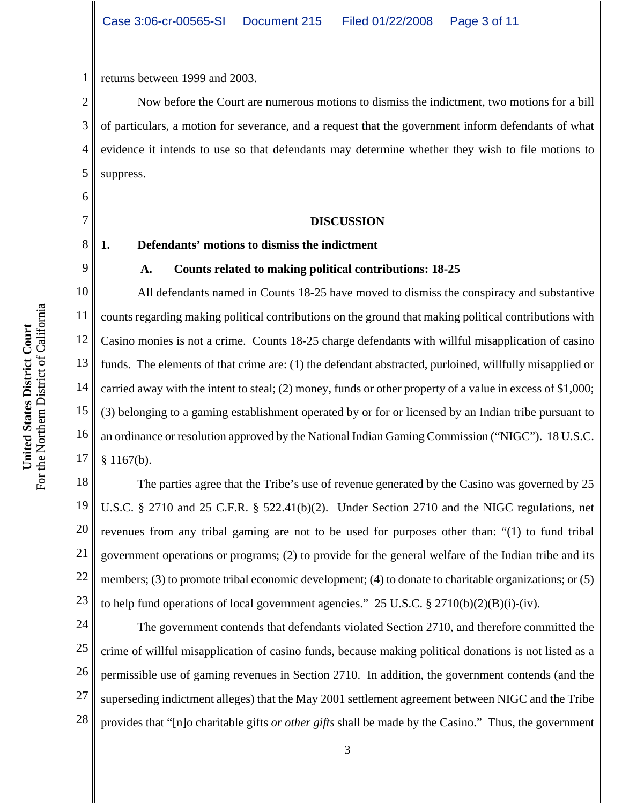1 returns between 1999 and 2003.

2 3 4 5 Now before the Court are numerous motions to dismiss the indictment, two motions for a bill of particulars, a motion for severance, and a request that the government inform defendants of what evidence it intends to use so that defendants may determine whether they wish to file motions to suppress.

#### **DISCUSSION**

#### **1. Defendants' motions to dismiss the indictment**

#### **A. Counts related to making political contributions: 18-25**

10 11 12 13 14 15 16 17 All defendants named in Counts 18-25 have moved to dismiss the conspiracy and substantive counts regarding making political contributions on the ground that making political contributions with Casino monies is not a crime. Counts 18-25 charge defendants with willful misapplication of casino funds. The elements of that crime are: (1) the defendant abstracted, purloined, willfully misapplied or carried away with the intent to steal; (2) money, funds or other property of a value in excess of \$1,000; (3) belonging to a gaming establishment operated by or for or licensed by an Indian tribe pursuant to an ordinance or resolution approved by the National Indian Gaming Commission ("NIGC"). 18 U.S.C. § 1167(b).

18 19 20 21 22 23 The parties agree that the Tribe's use of revenue generated by the Casino was governed by 25 U.S.C. § 2710 and 25 C.F.R. § 522.41(b)(2). Under Section 2710 and the NIGC regulations, net revenues from any tribal gaming are not to be used for purposes other than: "(1) to fund tribal government operations or programs; (2) to provide for the general welfare of the Indian tribe and its members; (3) to promote tribal economic development; (4) to donate to charitable organizations; or (5) to help fund operations of local government agencies." 25 U.S.C. § 2710(b)(2)(B)(i)-(iv).

24 25 26 27 28 The government contends that defendants violated Section 2710, and therefore committed the crime of willful misapplication of casino funds, because making political donations is not listed as a permissible use of gaming revenues in Section 2710. In addition, the government contends (and the superseding indictment alleges) that the May 2001 settlement agreement between NIGC and the Tribe provides that "[n]o charitable gifts *or other gifts* shall be made by the Casino." Thus, the government

6

7

8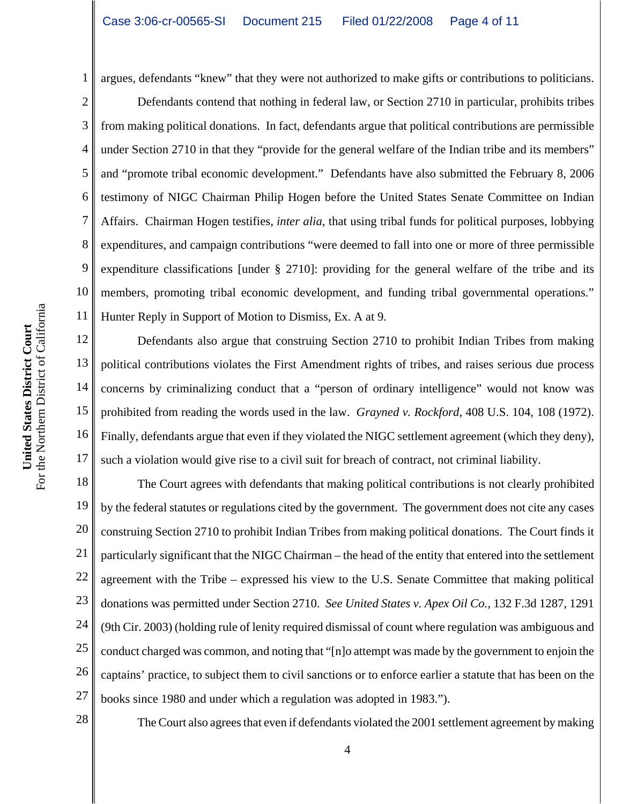1

5

7

argues, defendants "knew" that they were not authorized to make gifts or contributions to politicians.

2 3 4 6 8 9 10 11 Defendants contend that nothing in federal law, or Section 2710 in particular, prohibits tribes from making political donations. In fact, defendants argue that political contributions are permissible under Section 2710 in that they "provide for the general welfare of the Indian tribe and its members" and "promote tribal economic development." Defendants have also submitted the February 8, 2006 testimony of NIGC Chairman Philip Hogen before the United States Senate Committee on Indian Affairs. Chairman Hogen testifies, *inter alia*, that using tribal funds for political purposes, lobbying expenditures, and campaign contributions "were deemed to fall into one or more of three permissible expenditure classifications [under § 2710]: providing for the general welfare of the tribe and its members, promoting tribal economic development, and funding tribal governmental operations." Hunter Reply in Support of Motion to Dismiss, Ex. A at 9.

12 13 14 15 16 17 Defendants also argue that construing Section 2710 to prohibit Indian Tribes from making political contributions violates the First Amendment rights of tribes, and raises serious due process concerns by criminalizing conduct that a "person of ordinary intelligence" would not know was prohibited from reading the words used in the law. *Grayned v. Rockford*, 408 U.S. 104, 108 (1972). Finally, defendants argue that even if they violated the NIGC settlement agreement (which they deny), such a violation would give rise to a civil suit for breach of contract, not criminal liability.

18 19 20 21 22 23 24 25 26 27 The Court agrees with defendants that making political contributions is not clearly prohibited by the federal statutes or regulations cited by the government. The government does not cite any cases construing Section 2710 to prohibit Indian Tribes from making political donations. The Court finds it particularly significant that the NIGC Chairman – the head of the entity that entered into the settlement agreement with the Tribe – expressed his view to the U.S. Senate Committee that making political donations was permitted under Section 2710. *See United States v. Apex Oil Co.*, 132 F.3d 1287, 1291 (9th Cir. 2003) (holding rule of lenity required dismissal of count where regulation was ambiguous and conduct charged was common, and noting that "[n]o attempt was made by the government to enjoin the captains' practice, to subject them to civil sanctions or to enforce earlier a statute that has been on the books since 1980 and under which a regulation was adopted in 1983.").

28

The Court also agrees that even if defendants violated the 2001 settlement agreement by making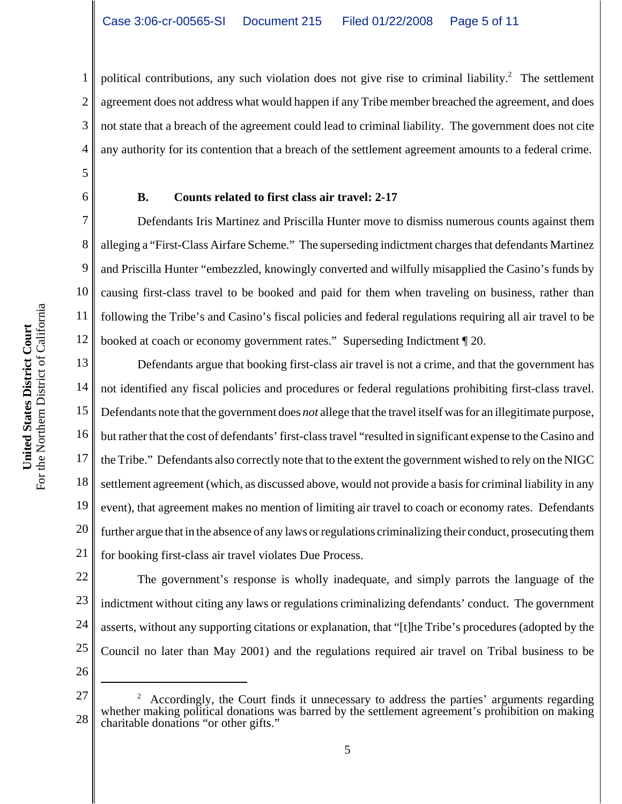3 4 political contributions, any such violation does not give rise to criminal liability.<sup>2</sup> The settlement agreement does not address what would happen if any Tribe member breached the agreement, and does not state that a breach of the agreement could lead to criminal liability. The government does not cite any authority for its contention that a breach of the settlement agreement amounts to a federal crime.

1

2

5

6

7

8

9

10

11

12

# **B. Counts related to first class air travel: 2-17**

Defendants Iris Martinez and Priscilla Hunter move to dismiss numerous counts against them alleging a "First-Class Airfare Scheme." The superseding indictment charges that defendants Martinez and Priscilla Hunter "embezzled, knowingly converted and wilfully misapplied the Casino's funds by causing first-class travel to be booked and paid for them when traveling on business, rather than following the Tribe's and Casino's fiscal policies and federal regulations requiring all air travel to be booked at coach or economy government rates." Superseding Indictment ¶ 20.

13 14 15 16 17 18 19 Defendants argue that booking first-class air travel is not a crime, and that the government has not identified any fiscal policies and procedures or federal regulations prohibiting first-class travel. Defendants note that the government does *not* allege that the travel itself was for an illegitimate purpose, but rather that the cost of defendants' first-class travel "resulted in significant expense to the Casino and the Tribe." Defendants also correctly note that to the extent the government wished to rely on the NIGC settlement agreement (which, as discussed above, would not provide a basis for criminal liability in any event), that agreement makes no mention of limiting air travel to coach or economy rates. Defendants further argue that in the absence of any laws or regulations criminalizing their conduct, prosecuting them for booking first-class air travel violates Due Process.

The government's response is wholly inadequate, and simply parrots the language of the

20 21 22 23 24 25 26 indictment without citing any laws or regulations criminalizing defendants' conduct. The government asserts, without any supporting citations or explanation, that "[t]he Tribe's procedures (adopted by the Council no later than May 2001) and the regulations required air travel on Tribal business to be

<sup>27</sup> 28  $2$  Accordingly, the Court finds it unnecessary to address the parties' arguments regarding whether making political donations was barred by the settlement agreement's prohibition on making charitable donations "or other gifts."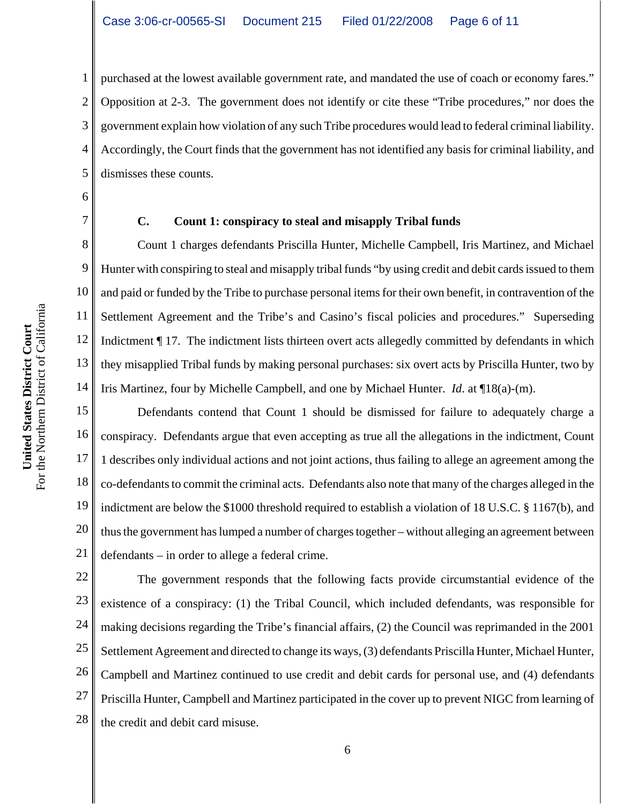2 3 4 5 purchased at the lowest available government rate, and mandated the use of coach or economy fares." Opposition at 2-3. The government does not identify or cite these "Tribe procedures," nor does the government explain how violation of any such Tribe procedures would lead to federal criminal liability. Accordingly, the Court finds that the government has not identified any basis for criminal liability, and dismisses these counts.

6

8

9

10

11

12

13

14

1

7

## **C. Count 1: conspiracy to steal and misapply Tribal funds**

Count 1 charges defendants Priscilla Hunter, Michelle Campbell, Iris Martinez, and Michael Hunter with conspiring to steal and misapply tribal funds "by using credit and debit cards issued to them and paid or funded by the Tribe to purchase personal items for their own benefit, in contravention of the Settlement Agreement and the Tribe's and Casino's fiscal policies and procedures." Superseding Indictment ¶ 17. The indictment lists thirteen overt acts allegedly committed by defendants in which they misapplied Tribal funds by making personal purchases: six overt acts by Priscilla Hunter, two by Iris Martinez, four by Michelle Campbell, and one by Michael Hunter. *Id*. at ¶18(a)-(m).

15 16 17 18 19 20 21 Defendants contend that Count 1 should be dismissed for failure to adequately charge a conspiracy. Defendants argue that even accepting as true all the allegations in the indictment, Count 1 describes only individual actions and not joint actions, thus failing to allege an agreement among the co-defendants to commit the criminal acts. Defendants also note that many of the charges alleged in the indictment are below the \$1000 threshold required to establish a violation of 18 U.S.C. § 1167(b), and thus the government has lumped a number of charges together – without alleging an agreement between defendants – in order to allege a federal crime.

22 23 24 25 26 27 28 The government responds that the following facts provide circumstantial evidence of the existence of a conspiracy: (1) the Tribal Council, which included defendants, was responsible for making decisions regarding the Tribe's financial affairs, (2) the Council was reprimanded in the 2001 Settlement Agreement and directed to change its ways, (3) defendants Priscilla Hunter, Michael Hunter, Campbell and Martinez continued to use credit and debit cards for personal use, and (4) defendants Priscilla Hunter, Campbell and Martinez participated in the cover up to prevent NIGC from learning of the credit and debit card misuse.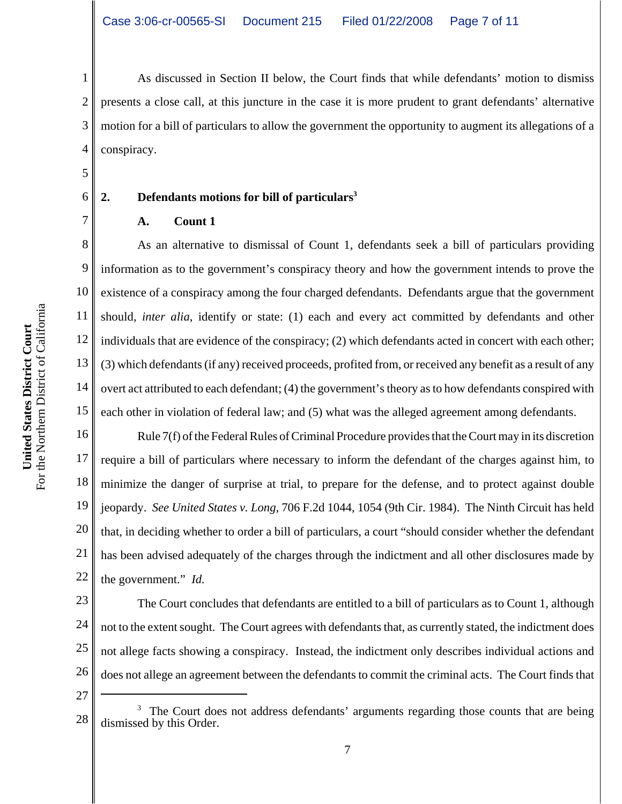As discussed in Section II below, the Court finds that while defendants' motion to dismiss presents a close call, at this juncture in the case it is more prudent to grant defendants' alternative motion for a bill of particulars to allow the government the opportunity to augment its allegations of a conspiracy.

# 2. Defendants motions for bill of particulars<sup>3</sup>

**A. Count 1**

8 9 10 11 12 13 14 15 As an alternative to dismissal of Count 1, defendants seek a bill of particulars providing information as to the government's conspiracy theory and how the government intends to prove the existence of a conspiracy among the four charged defendants. Defendants argue that the government should, *inter alia*, identify or state: (1) each and every act committed by defendants and other individuals that are evidence of the conspiracy; (2) which defendants acted in concert with each other; (3) which defendants (if any) received proceeds, profited from, or received any benefit as a result of any overt act attributed to each defendant; (4) the government's theory as to how defendants conspired with each other in violation of federal law; and (5) what was the alleged agreement among defendants.

16 17 18 19 20 21 22 Rule 7(f) of the Federal Rules of Criminal Procedure provides that the Court may in its discretion require a bill of particulars where necessary to inform the defendant of the charges against him, to minimize the danger of surprise at trial, to prepare for the defense, and to protect against double jeopardy. *See United States v. Long*, 706 F.2d 1044, 1054 (9th Cir. 1984). The Ninth Circuit has held that, in deciding whether to order a bill of particulars, a court "should consider whether the defendant has been advised adequately of the charges through the indictment and all other disclosures made by the government." *Id.*

23 24 25 26 The Court concludes that defendants are entitled to a bill of particulars as to Count 1, although not to the extent sought. The Court agrees with defendants that, as currently stated, the indictment does not allege facts showing a conspiracy. Instead, the indictment only describes individual actions and does not allege an agreement between the defendants to commit the criminal acts. The Court finds that

27

1

2

3

4

5

6

<sup>28</sup> <sup>3</sup> The Court does not address defendants' arguments regarding those counts that are being dismissed by this Order.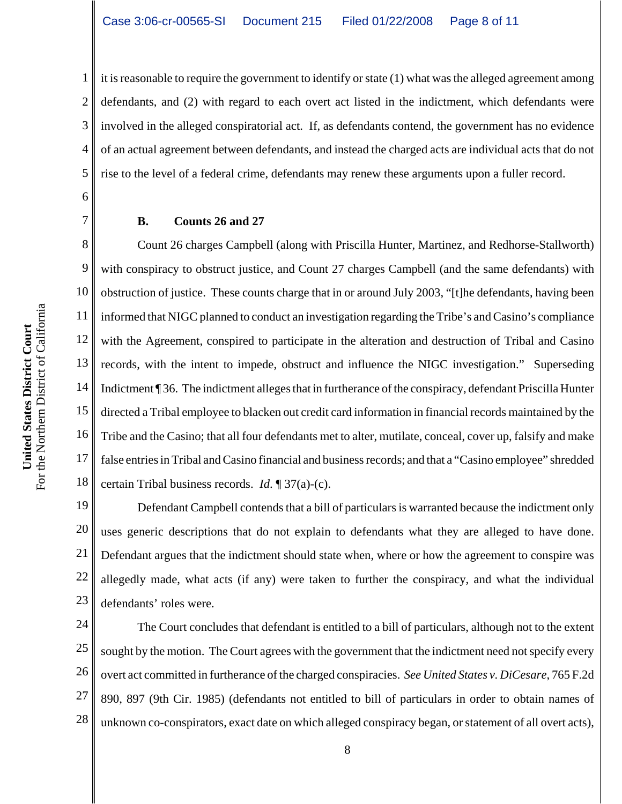1 2 3 4 5 it is reasonable to require the government to identify or state (1) what was the alleged agreement among defendants, and (2) with regard to each overt act listed in the indictment, which defendants were involved in the alleged conspiratorial act. If, as defendants contend, the government has no evidence of an actual agreement between defendants, and instead the charged acts are individual acts that do not rise to the level of a federal crime, defendants may renew these arguments upon a fuller record.

#### **B. Counts 26 and 27**

8 9 10 11 12 13 14 15 16 17 18 Count 26 charges Campbell (along with Priscilla Hunter, Martinez, and Redhorse-Stallworth) with conspiracy to obstruct justice, and Count 27 charges Campbell (and the same defendants) with obstruction of justice. These counts charge that in or around July 2003, "[t]he defendants, having been informed that NIGC planned to conduct an investigation regarding the Tribe's and Casino's compliance with the Agreement, conspired to participate in the alteration and destruction of Tribal and Casino records, with the intent to impede, obstruct and influence the NIGC investigation." Superseding Indictment ¶ 36. The indictment alleges that in furtherance of the conspiracy, defendant Priscilla Hunter directed a Tribal employee to blacken out credit card information in financial records maintained by the Tribe and the Casino; that all four defendants met to alter, mutilate, conceal, cover up, falsify and make false entries in Tribal and Casino financial and business records; and that a "Casino employee" shredded certain Tribal business records. *Id*. ¶ 37(a)-(c).

19 20 21 22 23 Defendant Campbell contends that a bill of particulars is warranted because the indictment only uses generic descriptions that do not explain to defendants what they are alleged to have done. Defendant argues that the indictment should state when, where or how the agreement to conspire was allegedly made, what acts (if any) were taken to further the conspiracy, and what the individual defendants' roles were.

24 25 26 27 28 The Court concludes that defendant is entitled to a bill of particulars, although not to the extent sought by the motion. The Court agrees with the government that the indictment need not specify every overt act committed in furtherance of the charged conspiracies. *See United States v. DiCesare*, 765 F.2d 890, 897 (9th Cir. 1985) (defendants not entitled to bill of particulars in order to obtain names of unknown co-conspirators, exact date on which alleged conspiracy began, or statement of all overt acts),

6

7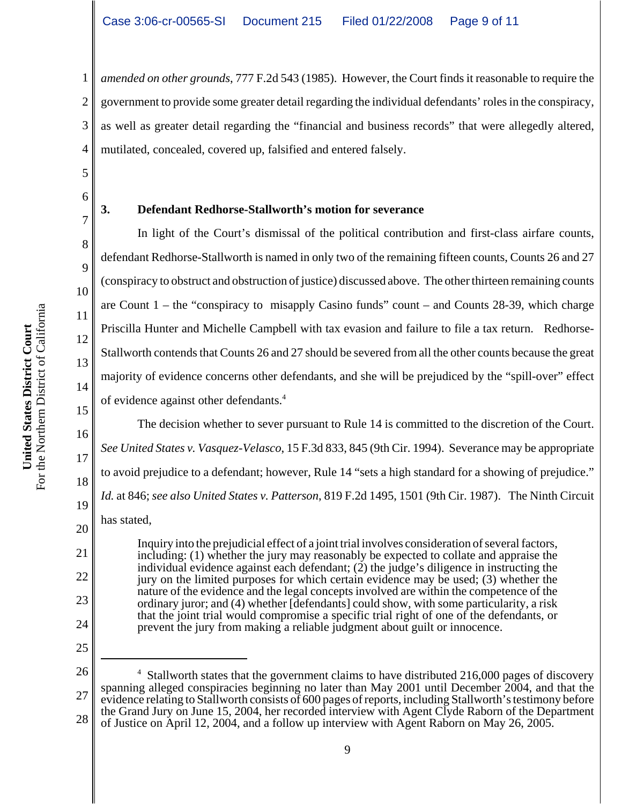*amended on other grounds*, 777 F.2d 543 (1985). However, the Court finds it reasonable to require the government to provide some greater detail regarding the individual defendants' roles in the conspiracy, as well as greater detail regarding the "financial and business records" that were allegedly altered, mutilated, concealed, covered up, falsified and entered falsely.

1

2

3

4

5

6

7

8

9

### **3. Defendant Redhorse-Stallworth's motion for severance**

In light of the Court's dismissal of the political contribution and first-class airfare counts, defendant Redhorse-Stallworth is named in only two of the remaining fifteen counts, Counts 26 and 27 (conspiracy to obstruct and obstruction of justice) discussed above. The other thirteen remaining counts are Count 1 – the "conspiracy to misapply Casino funds" count – and Counts 28-39, which charge Priscilla Hunter and Michelle Campbell with tax evasion and failure to file a tax return. Redhorse-Stallworth contends that Counts 26 and 27 should be severed from all the other counts because the great majority of evidence concerns other defendants, and she will be prejudiced by the "spill-over" effect of evidence against other defendants.<sup>4</sup>

The decision whether to sever pursuant to Rule 14 is committed to the discretion of the Court. *See United States v. Vasquez-Velasco*, 15 F.3d 833, 845 (9th Cir. 1994). Severance may be appropriate to avoid prejudice to a defendant; however, Rule 14 "sets a high standard for a showing of prejudice." *Id.* at 846; *see also United States v. Patterson*, 819 F.2d 1495, 1501 (9th Cir. 1987). The Ninth Circuit has stated,

Inquiry into the prejudicial effect of a joint trial involves consideration of several factors, including: (1) whether the jury may reasonably be expected to collate and appraise the individual evidence against each defendant;  $(2)$  the judge's diligence in instructing the jury on the limited purposes for which certain evidence may be used; (3) whether the nature of the evidence and the legal concepts involved are within the competence of the ordinary juror; and (4) whether [defendants] could show, with some particularity, a risk that the joint trial would compromise a specific trial right of one of the defendants, or prevent the jury from making a reliable judgment about guilt or innocence.

18

19

20

21

22

23

24

25

**United States District Court**

United States District Court

<sup>26</sup> 27 28 <sup>4</sup> Stallworth states that the government claims to have distributed 216,000 pages of discovery spanning alleged conspiracies beginning no later than May 2001 until December 2004, and that the evidence relating to Stallworth consists of 600 pages of reports, including Stallworth's testimony before the Grand Jury on June 15, 2004, her recorded interview with Agent Clyde Raborn of the Department of Justice on April 12, 2004, and a follow up interview with Agent Raborn on May 26, 2005.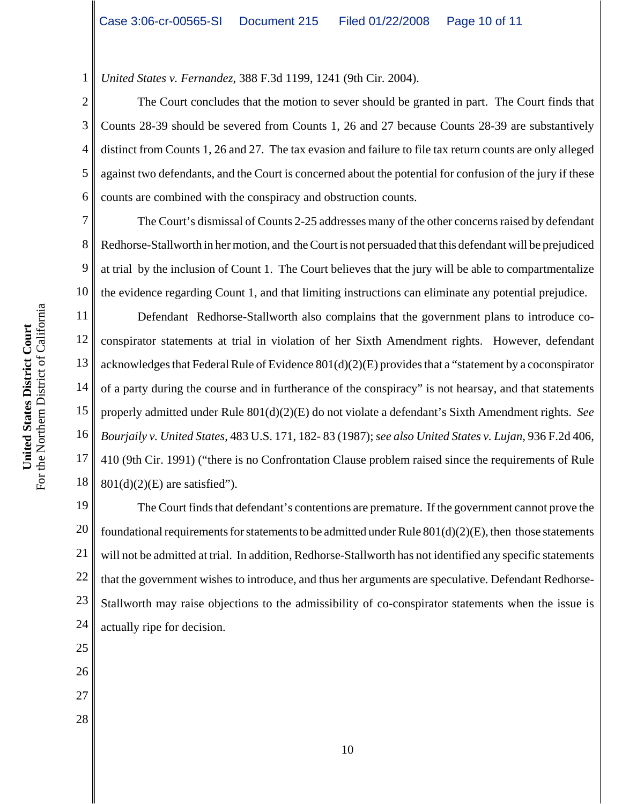*United States v. Fernandez*, 388 F.3d 1199, 1241 (9th Cir. 2004).

2 3 4 5 6 The Court concludes that the motion to sever should be granted in part. The Court finds that Counts 28-39 should be severed from Counts 1, 26 and 27 because Counts 28-39 are substantively distinct from Counts 1, 26 and 27. The tax evasion and failure to file tax return counts are only alleged against two defendants, and the Court is concerned about the potential for confusion of the jury if these counts are combined with the conspiracy and obstruction counts.

10 The Court's dismissal of Counts 2-25 addresses many of the other concerns raised by defendant Redhorse-Stallworth in her motion, and the Court is not persuaded that this defendant will be prejudiced at trial by the inclusion of Count 1. The Court believes that the jury will be able to compartmentalize the evidence regarding Count 1, and that limiting instructions can eliminate any potential prejudice.

11 12 13 14 15 16 17 18 Defendant Redhorse-Stallworth also complains that the government plans to introduce coconspirator statements at trial in violation of her Sixth Amendment rights. However, defendant acknowledges that Federal Rule of Evidence  $801(d)(2)(E)$  provides that a "statement by a coconspirator" of a party during the course and in furtherance of the conspiracy" is not hearsay, and that statements properly admitted under Rule 801(d)(2)(E) do not violate a defendant's Sixth Amendment rights. *See Bourjaily v. United States*, 483 U.S. 171, 182- 83 (1987); *see also United States v. Lujan*, 936 F.2d 406, 410 (9th Cir. 1991) ("there is no Confrontation Clause problem raised since the requirements of Rule  $801(d)(2)(E)$  are satisfied").

19 20 21 22 23 24 The Court finds that defendant's contentions are premature. If the government cannot prove the foundational requirements for statements to be admitted under Rule  $801(d)(2)(E)$ , then those statements will not be admitted at trial. In addition, Redhorse-Stallworth has not identified any specific statements that the government wishes to introduce, and thus her arguments are speculative. Defendant Redhorse-Stallworth may raise objections to the admissibility of co-conspirator statements when the issue is actually ripe for decision.

- 25
- 26
- 27
- 
- 28

1

7

8